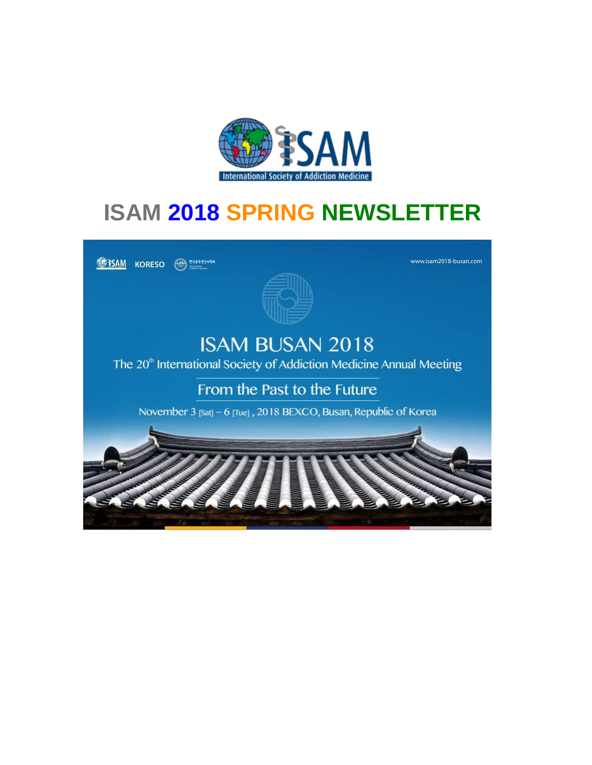

# **ISAM 2018 SPRING NEWSLETTER**

**SEPSAM** KORESO (



www.isam2018-busan.com

## **ISAM BUSAN 2018**

The 20<sup>th</sup> International Society of Addiction Medicine Annual Meeting

From the Past to the Future

November 3 [Sat] - 6 [Tue], 2018 BEXCO, Busan, Republic of Korea

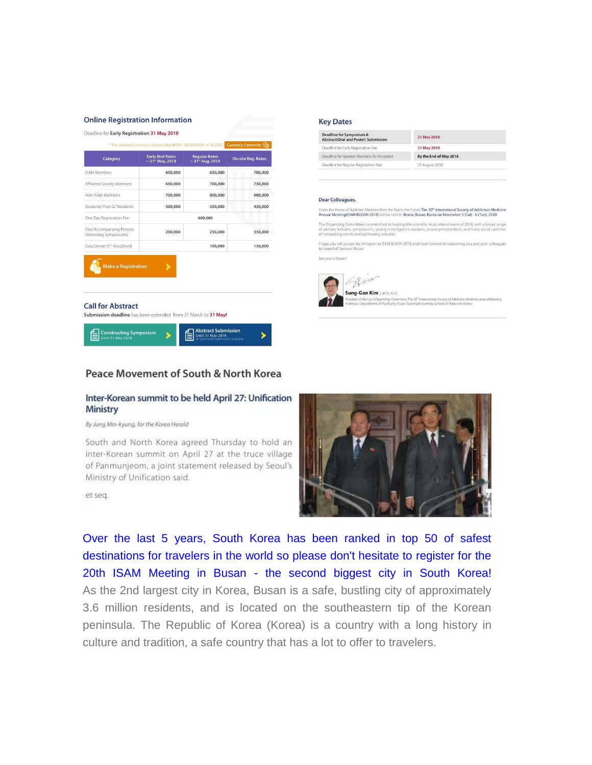#### **Online Registration Information**

| Category                                               | <b>Early Bird Rates</b><br>$\sim$ 31st May, 2018 | <b>Regular Rates</b><br>$\sim 31^{st}$ Aug, 2018 | <b>On-site Reg. Rates</b> |
|--------------------------------------------------------|--------------------------------------------------|--------------------------------------------------|---------------------------|
| <b>ISAM Members</b>                                    | 600,000                                          | 650,000                                          | 700,000                   |
| Affiliated Society Members                             | 650,000                                          | 700,000                                          | 750,000                   |
| Non-ISAM Members                                       | 700,000                                          | 800,000                                          | 900,000                   |
| Students/ Post-G/ Residents                            | 300,000                                          | 350,000                                          | 450,000                   |
| One Day Registration Fee                               | 400,000                                          |                                                  |                           |
| Paid Accompanying Persons<br>(Attending Symposiums)    | 200,000                                          | 250,000                                          | 350,000                   |
| Gala Dinner [5th Nov.(Mon)]                            |                                                  | 100,000                                          | 150,000                   |
| <b>Make a Registration</b><br><b>Call for Abstract</b> |                                                  |                                                  |                           |

#### **Key Dates**

| Deadline for Symposium &<br>Abstract(Oral and Poster) Submission | 31 May 2018            |  |
|------------------------------------------------------------------|------------------------|--|
| Deadline for Early Registration Fee                              | 31 May 2018            |  |
| Deadline for Speaker Abstracts for Accepted                      | By the End of May 2018 |  |
| Deadline for Regular Registration Fee                            | 31 August 2018         |  |
|                                                                  |                        |  |

#### Dear Colleagues,

Under the theme of Piddiction Medicine from the Past to the Future, The 20<sup>th</sup> International Society of Addiction Me<br>Annual Meeting(ISAM BUSAN 2018) will be held in Bexco, Busan, Korea on November 3 (Sat) - 6 (Tue), 2018 Medicine

The Organizing Committee is committed to hosting the scientific must-attend event of 2018, with a broad range<br>of plenary lectures, symposiums, young investigator's sessions, poster presentations, and lively social calendar

I hope you will accept my invitation to ISAM BUSAN 2018 and I look forward to welcoming you and your colleagues<br>to beautiful Dynamic Busari

See you in Busan!



#### Peace Movement of South & North Korea

l≡l∖

#### Inter-Korean summit to be held April 27: Unification **Ministry**

By Jung Min-kyung, for the Korea Herald

Until 31 May 2018

South and North Korea agreed Thursday to hold an inter-Korean summit on April 27 at the truce village of Panmunjeom, a joint statement released by Seoul's Ministry of Unification said.

et seq.



Over the last 5 years, South Korea has been ranked in top 50 of safest destinations for travelers in the world so please don't hesitate to register for the 20th ISAM Meeting in Busan - the second biggest city in South Korea! As the 2nd largest city in Korea, Busan is a safe, bustling city of approximately 3.6 million residents, and is located on the southeastern tip of the Korean peninsula. The Republic of Korea (Korea) is a country with a long history in culture and tradition, a safe country that has a lot to offer to travelers.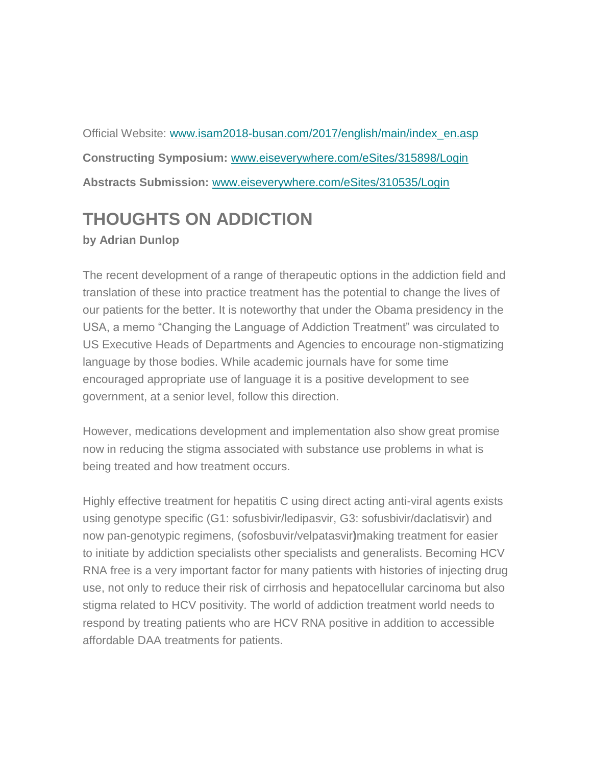Official Website: [www.isam2018-busan.com/2017/english/main/index\\_en.asp](http://trk-mkt.tason.com/CheckNew.html?TV9JRD05MzY5MjMzMzgx&U1RZUEU9TUFTUw==&RU1BSUxfSUQ9amFuLmtsaW1hc0B1Y2QuaWU=&TElTVF9UQUJMRT1FQkFEMDI2MA==&UE9TVF9JRD0yMDE4MDIyNjEwMDAxMDkwMjM1Mw==&VEM9MjAxODAzMTI=&S0lORD1D&Q0lEPTAwMQ==&URL=http://www.isam2018-busan.com/2017/english/main/index_en.asp) **Constructing Symposium:** [www.eiseverywhere.com/eSites/315898/Login](http://trk-mkt.tason.com/CheckNew.html?TV9JRD05MzY5MjMzMzgx&U1RZUEU9TUFTUw==&RU1BSUxfSUQ9amFuLmtsaW1hc0B1Y2QuaWU=&TElTVF9UQUJMRT1FQkFEMDI2MA==&UE9TVF9JRD0yMDE4MDIyNjEwMDAxMDkwMjM1Mw==&VEM9MjAxODAzMTI=&S0lORD1D&Q0lEPTAwMg==&URL=https://www.eiseverywhere.com/eSites/315898/Login) **Abstracts Submission:** [www.eiseverywhere.com/eSites/310535/Login](http://trk-mkt.tason.com/CheckNew.html?TV9JRD05MzY5MjMzMzgx&U1RZUEU9TUFTUw==&RU1BSUxfSUQ9amFuLmtsaW1hc0B1Y2QuaWU=&TElTVF9UQUJMRT1FQkFEMDI2MA==&UE9TVF9JRD0yMDE4MDIyNjEwMDAxMDkwMjM1Mw==&VEM9MjAxODAzMTI=&S0lORD1D&Q0lEPTAwMw==&URL=https://www.eiseverywhere.com/eSites/310535/Login)

## **THOUGHTS ON ADDICTION**

### **by Adrian Dunlop**

The recent development of a range of therapeutic options in the addiction field and translation of these into practice treatment has the potential to change the lives of our patients for the better. It is noteworthy that under the Obama presidency in the USA, a memo "Changing the Language of Addiction Treatment" was circulated to US Executive Heads of Departments and Agencies to encourage non-stigmatizing language by those bodies. While academic journals have for some time encouraged appropriate use of language it is a positive development to see government, at a senior level, follow this direction.

However, medications development and implementation also show great promise now in reducing the stigma associated with substance use problems in what is being treated and how treatment occurs.

Highly effective treatment for hepatitis C using direct acting anti-viral agents exists using genotype specific (G1: sofusbivir/ledipasvir, G3: sofusbivir/daclatisvir) and now pan-genotypic regimens, (sofosbuvir/velpatasvir**)**making treatment for easier to initiate by addiction specialists other specialists and generalists. Becoming HCV RNA free is a very important factor for many patients with histories of injecting drug use, not only to reduce their risk of cirrhosis and hepatocellular carcinoma but also stigma related to HCV positivity. The world of addiction treatment world needs to respond by treating patients who are HCV RNA positive in addition to accessible affordable DAA treatments for patients.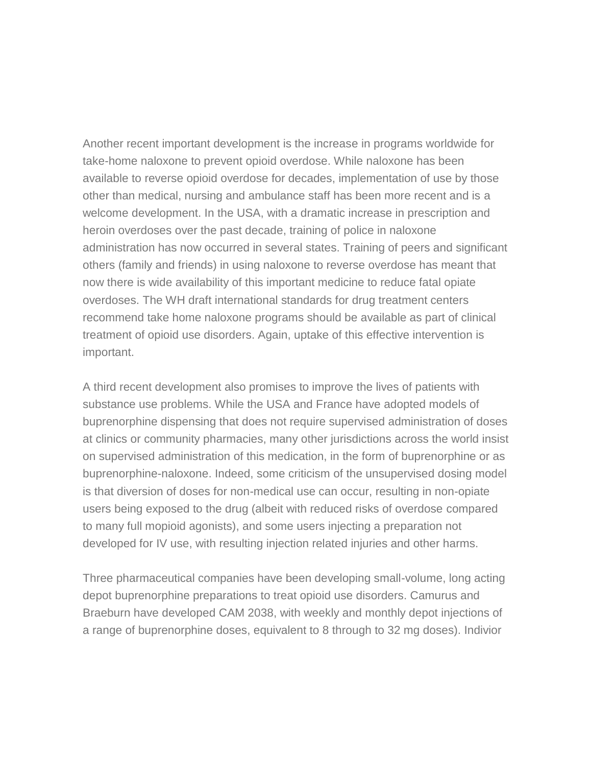Another recent important development is the increase in programs worldwide for take-home naloxone to prevent opioid overdose. While naloxone has been available to reverse opioid overdose for decades, implementation of use by those other than medical, nursing and ambulance staff has been more recent and is a welcome development. In the USA, with a dramatic increase in prescription and heroin overdoses over the past decade, training of police in naloxone administration has now occurred in several states. Training of peers and significant others (family and friends) in using naloxone to reverse overdose has meant that now there is wide availability of this important medicine to reduce fatal opiate overdoses. The WH draft international standards for drug treatment centers recommend take home naloxone programs should be available as part of clinical treatment of opioid use disorders. Again, uptake of this effective intervention is important.

A third recent development also promises to improve the lives of patients with substance use problems. While the USA and France have adopted models of buprenorphine dispensing that does not require supervised administration of doses at clinics or community pharmacies, many other jurisdictions across the world insist on supervised administration of this medication, in the form of buprenorphine or as buprenorphine-naloxone. Indeed, some criticism of the unsupervised dosing model is that diversion of doses for non-medical use can occur, resulting in non-opiate users being exposed to the drug (albeit with reduced risks of overdose compared to many full mopioid agonists), and some users injecting a preparation not developed for IV use, with resulting injection related injuries and other harms.

Three pharmaceutical companies have been developing small-volume, long acting depot buprenorphine preparations to treat opioid use disorders. Camurus and Braeburn have developed CAM 2038, with weekly and monthly depot injections of a range of buprenorphine doses, equivalent to 8 through to 32 mg doses). Indivior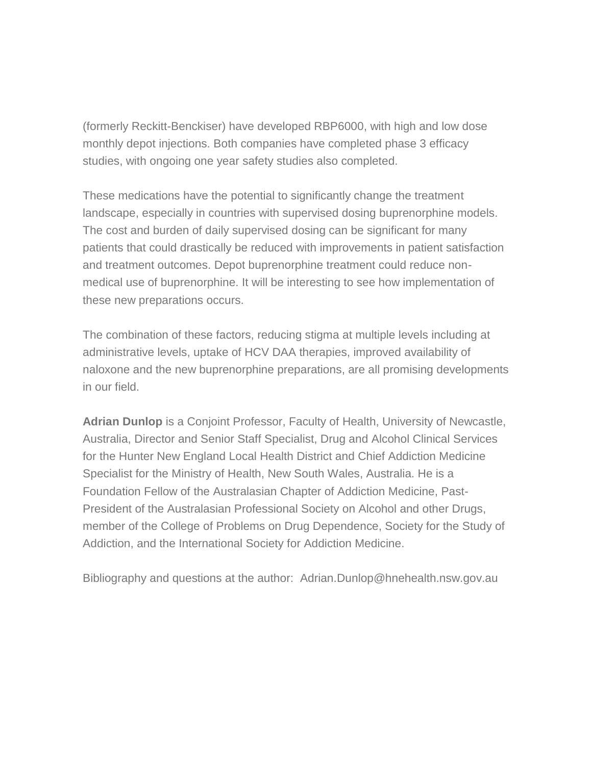(formerly Reckitt-Benckiser) have developed RBP6000, with high and low dose monthly depot injections. Both companies have completed phase 3 efficacy studies, with ongoing one year safety studies also completed.

These medications have the potential to significantly change the treatment landscape, especially in countries with supervised dosing buprenorphine models. The cost and burden of daily supervised dosing can be significant for many patients that could drastically be reduced with improvements in patient satisfaction and treatment outcomes. Depot buprenorphine treatment could reduce nonmedical use of buprenorphine. It will be interesting to see how implementation of these new preparations occurs.

The combination of these factors, reducing stigma at multiple levels including at administrative levels, uptake of HCV DAA therapies, improved availability of naloxone and the new buprenorphine preparations, are all promising developments in our field.

**Adrian Dunlop** is a Conjoint Professor, Faculty of Health, University of Newcastle, Australia, Director and Senior Staff Specialist, Drug and Alcohol Clinical Services for the Hunter New England Local Health District and Chief Addiction Medicine Specialist for the Ministry of Health, New South Wales, Australia. He is a Foundation Fellow of the Australasian Chapter of Addiction Medicine, Past-President of the Australasian Professional Society on Alcohol and other Drugs, member of the College of Problems on Drug Dependence, Society for the Study of Addiction, and the International Society for Addiction Medicine.

Bibliography and questions at the author: Adrian.Dunlop@hnehealth.nsw.gov.au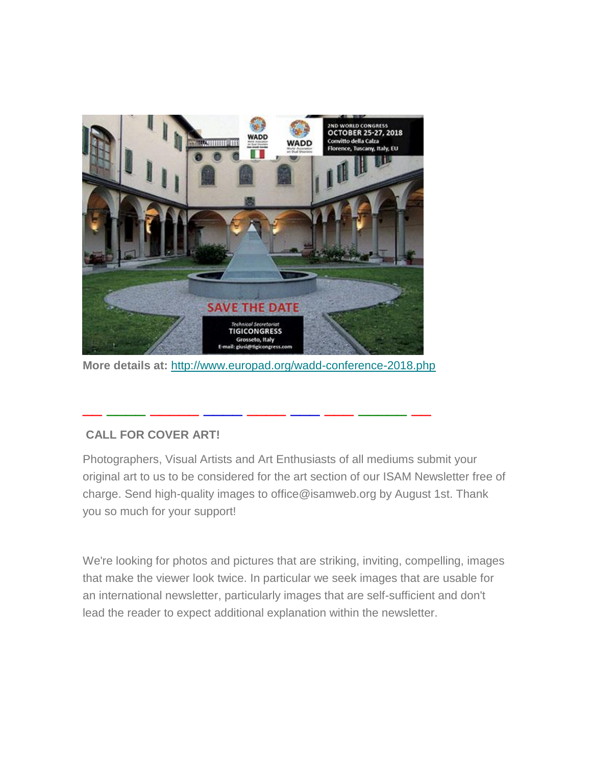

**More details at:** <http://www.europad.org/wadd-conference-2018.php>

\_\_ \_\_\_\_ \_\_\_\_\_ \_\_\_\_ \_\_\_\_ \_\_\_ \_\_\_ \_\_\_\_\_ \_\_

### **CALL FOR COVER ART!**

Photographers, Visual Artists and Art Enthusiasts of all mediums submit your original art to us to be considered for the art section of our ISAM Newsletter free of charge. Send high-quality images to office@isamweb.org by August 1st. Thank you so much for your support!

We're looking for photos and pictures that are striking, inviting, compelling, images that make the viewer look twice. In particular we seek images that are usable for an international newsletter, particularly images that are self-sufficient and don't lead the reader to expect additional explanation within the newsletter.